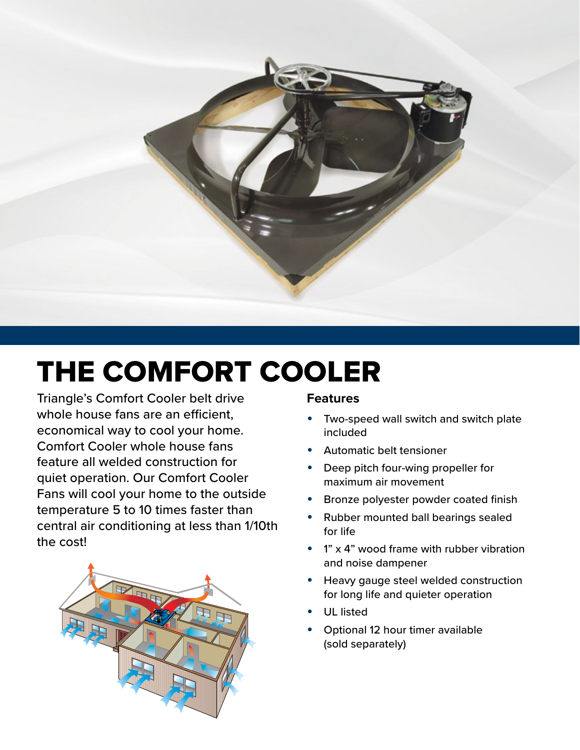

# THE COMFORT COOLER

Triangle's Comfort Cooler belt drive whole house fans are an efficient, economical way to cool your home. Comfort Cooler whole house fans feature all welded construction for quiet operation. Our Comfort Cooler Fans will cool your home to the outside temperature 5 to 10 times faster than central air conditioning at less than 1/10th the cost!



### **Features**

- Two-speed wall switch and switch plate included
- Automatic belt tensioner
- Deep pitch four-wing propeller for maximum air movement
- Bronze polyester powder coated finish
- Rubber mounted ball bearings sealed for life
- $1"$  x 4" wood frame with rubber vibration and noise dampener
- Heavy gauge steel welded construction for long life and quieter operation
- UL listed
- Optional 12 hour timer available (sold separately)